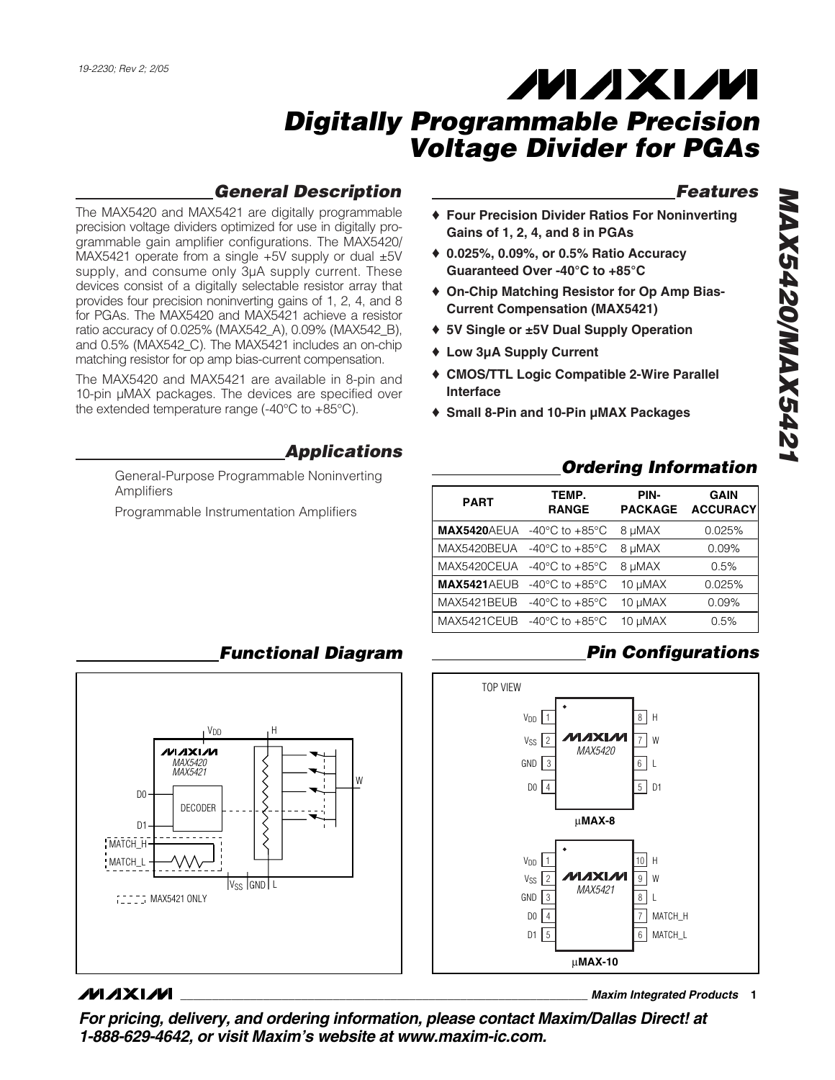## *General Description*

The MAX5420 and MAX5421 are digitally programmable precision voltage dividers optimized for use in digitally programmable gain amplifier configurations. The MAX5420/ MAX5421 operate from a single +5V supply or dual ±5V supply, and consume only 3µA supply current. These devices consist of a digitally selectable resistor array that provides four precision noninverting gains of 1, 2, 4, and 8 for PGAs. The MAX5420 and MAX5421 achieve a resistor ratio accuracy of 0.025% (MAX542\_A), 0.09% (MAX542\_B), and 0.5% (MAX542\_C). The MAX5421 includes an on-chip matching resistor for op amp bias-current compensation.

The MAX5420 and MAX5421 are available in 8-pin and 10-pin µMAX packages. The devices are specified over the extended temperature range (-40°C to +85°C).

#### *Applications*

General-Purpose Programmable Noninverting Amplifiers

Programmable Instrumentation Amplifiers

## *Features*

- ♦ **Four Precision Divider Ratios For Noninverting Gains of 1, 2, 4, and 8 in PGAs**
- ♦ **0.025%, 0.09%, or 0.5% Ratio Accuracy Guaranteed Over -40°C to +85°C**
- ♦ **On-Chip Matching Resistor for Op Amp Bias-Current Compensation (MAX5421)**
- ♦ **5V Single or ±5V Dual Supply Operation**
- ♦ **Low 3µA Supply Current**
- ♦ **CMOS/TTL Logic Compatible 2-Wire Parallel Interface**
- ♦ **Small 8-Pin and 10-Pin µMAX Packages**

#### *Ordering Information*

| <b>PART</b>        | TEMP.<br><b>RANGE</b>                | PIN-<br><b>PACKAGE</b> | <b>GAIN</b><br><b>ACCURACY</b> |
|--------------------|--------------------------------------|------------------------|--------------------------------|
| <b>MAX5420AEUA</b> | -40 $^{\circ}$ C to +85 $^{\circ}$ C | 8 µMAX                 | 0.025%                         |
| MAX5420BEUA        | -40 $^{\circ}$ C to +85 $^{\circ}$ C | 8 µMAX                 | 0.09%                          |
| MAX5420CEUA        | -40 $^{\circ}$ C to +85 $^{\circ}$ C | 8 µMAX                 | 0.5%                           |
| <b>MAX5421AEUB</b> | -40 $^{\circ}$ C to +85 $^{\circ}$ C | 10 µMAX                | 0.025%                         |
| MAX5421BEUB        | -40 $^{\circ}$ C to +85 $^{\circ}$ C | 10 µMAX                | 0.09%                          |
| MAX5421CEUB        | -40 $^{\circ}$ C to +85 $^{\circ}$ C | 10 µMAX                | 0.5%                           |

## *Pin Configurations*



#### V<sub>DD</sub> H ハハメレル *MAX5420 MAX5421* W D0 **DECODER** D1 MATCH\_H MATCH\_L  $V_{SS}$  GND L **MAX5421 ONLY**

#### **MAXIM**

**\_\_\_\_\_\_\_\_\_\_\_\_\_\_\_\_\_\_\_\_\_\_\_\_\_\_\_\_\_\_\_\_\_\_\_\_\_\_\_\_\_\_\_\_\_\_\_\_\_\_\_\_\_\_\_\_\_\_\_\_\_\_\_\_** *Maxim Integrated Products* **1**

*For pricing, delivery, and ordering information, please contact Maxim/Dallas Direct! at 1-888-629-4642, or visit Maxim's website at www.maxim-ic.com.*

### *Functional Diagram*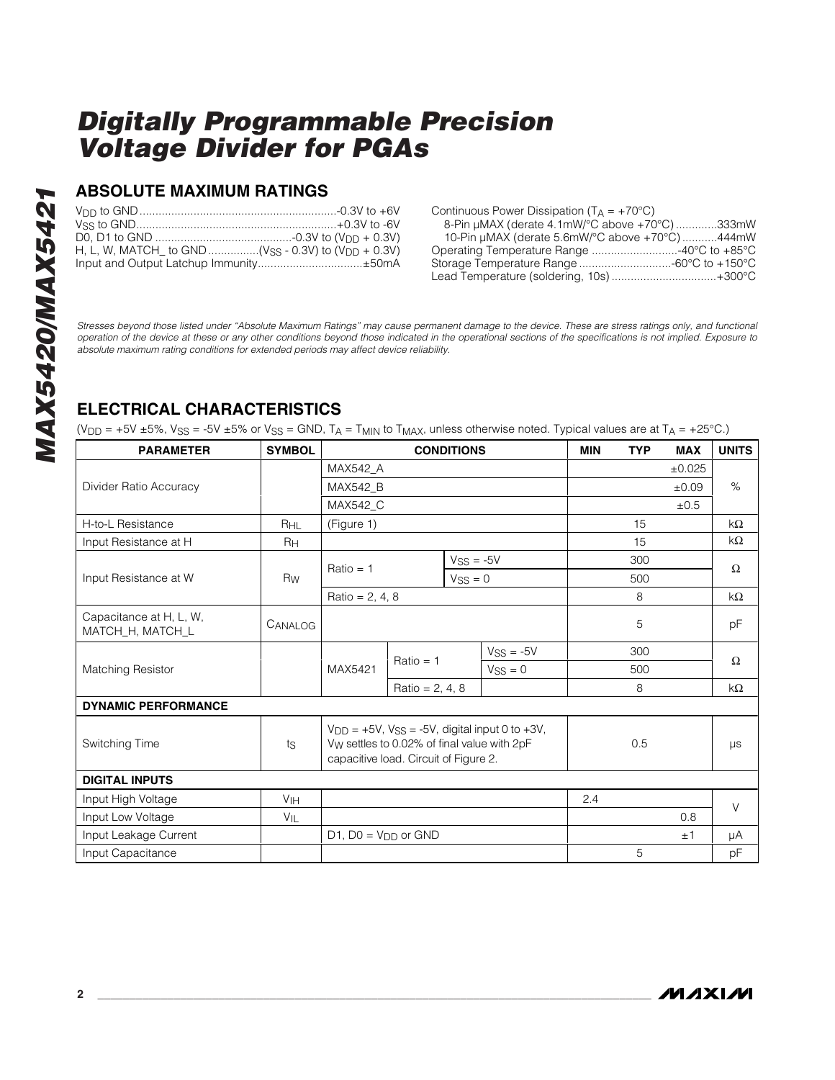#### **ABSOLUTE MAXIMUM RATINGS**

| H, L, W, MATCH to GND (Vss - 0.3V) to (V <sub>DD</sub> + 0.3V) |  |
|----------------------------------------------------------------|--|
|                                                                |  |

| Continuous Power Dissipation ( $T_A = +70^{\circ}C$ ) |  |
|-------------------------------------------------------|--|
| 8-Pin µMAX (derate 4.1mW/°C above +70°C)333mW         |  |
| 10-Pin µMAX (derate 5.6mW/°C above +70°C)444mW        |  |
|                                                       |  |
|                                                       |  |
| Lead Temperature (soldering, 10s)+300°C               |  |

*Stresses beyond those listed under "Absolute Maximum Ratings" may cause permanent damage to the device. These are stress ratings only, and functional operation of the device at these or any other conditions beyond those indicated in the operational sections of the specifications is not implied. Exposure to absolute maximum rating conditions for extended periods may affect device reliability.*

#### **ELECTRICAL CHARACTERISTICS**

(V<sub>DD</sub> = +5V ±5%, V<sub>SS</sub> = -5V ±5% or V<sub>SS</sub> = GND, T<sub>A</sub> = T<sub>MIN</sub> to T<sub>MAX</sub>, unless otherwise noted. Typical values are at T<sub>A</sub> = +25°C.)

| <b>PARAMETER</b>                            | <b>SYMBOL</b>   | <b>CONDITIONS</b>                                                                                                                                                |             |             | <b>MIN</b>  | <b>TYP</b> | <b>MAX</b> | <b>UNITS</b> |           |
|---------------------------------------------|-----------------|------------------------------------------------------------------------------------------------------------------------------------------------------------------|-------------|-------------|-------------|------------|------------|--------------|-----------|
|                                             |                 | <b>MAX542 A</b>                                                                                                                                                  |             |             |             |            |            | ±0.025       |           |
| Divider Ratio Accuracy                      |                 | <b>MAX542 B</b>                                                                                                                                                  |             |             |             |            | ±0.09      | $\%$         |           |
|                                             |                 | MAX542_C                                                                                                                                                         |             |             |             |            |            | ±0.5         |           |
| H-to-L Resistance                           | R <sub>HL</sub> | (Figure 1)                                                                                                                                                       |             |             |             |            | 15         |              | kΩ        |
| Input Resistance at H                       | RH              |                                                                                                                                                                  |             |             |             |            | 15         |              | kΩ        |
|                                             |                 | $Ratio = 1$                                                                                                                                                      |             | $VSS = -5V$ |             | 300        |            | $\Omega$     |           |
| Input Resistance at W                       | Rw              |                                                                                                                                                                  |             | $VSS = 0$   |             |            | 500        |              |           |
|                                             |                 | Ratio = $2, 4, 8$                                                                                                                                                |             |             |             |            | 8          |              | $k\Omega$ |
| Capacitance at H, L, W,<br>MATCH_H, MATCH_L | CANALOG         |                                                                                                                                                                  |             |             |             | 5          |            | pF           |           |
|                                             |                 | MAX5421                                                                                                                                                          |             |             | $VSS = -5V$ |            | 300        |              |           |
| <b>Matching Resistor</b>                    |                 |                                                                                                                                                                  | $Ratio = 1$ |             | $VSS = 0$   |            | 500        |              | $\Omega$  |
|                                             |                 | Ratio = $2, 4, 8$                                                                                                                                                |             |             |             |            | 8          |              | kΩ        |
| <b>DYNAMIC PERFORMANCE</b>                  |                 |                                                                                                                                                                  |             |             |             |            |            |              |           |
| Switching Time                              | ts              | $V_{DD} = +5V$ , $V_{SS} = -5V$ , digital input 0 to $+3V$ ,<br>V <sub>W</sub> settles to 0.02% of final value with 2pF<br>capacitive load. Circuit of Figure 2. |             |             | 0.5         |            | μs         |              |           |
| <b>DIGITAL INPUTS</b>                       |                 |                                                                                                                                                                  |             |             |             |            |            |              |           |
| Input High Voltage                          | V <sub>IH</sub> |                                                                                                                                                                  |             | 2.4         |             |            | $\vee$     |              |           |
| Input Low Voltage                           | VIL             |                                                                                                                                                                  |             |             |             | 0.8        |            |              |           |
| Input Leakage Current                       |                 | $D1$ , $D0 = V_{DD}$ or GND                                                                                                                                      |             |             |             |            | ±1         | μA           |           |
| Input Capacitance                           |                 |                                                                                                                                                                  |             |             |             |            | 5          |              | pF        |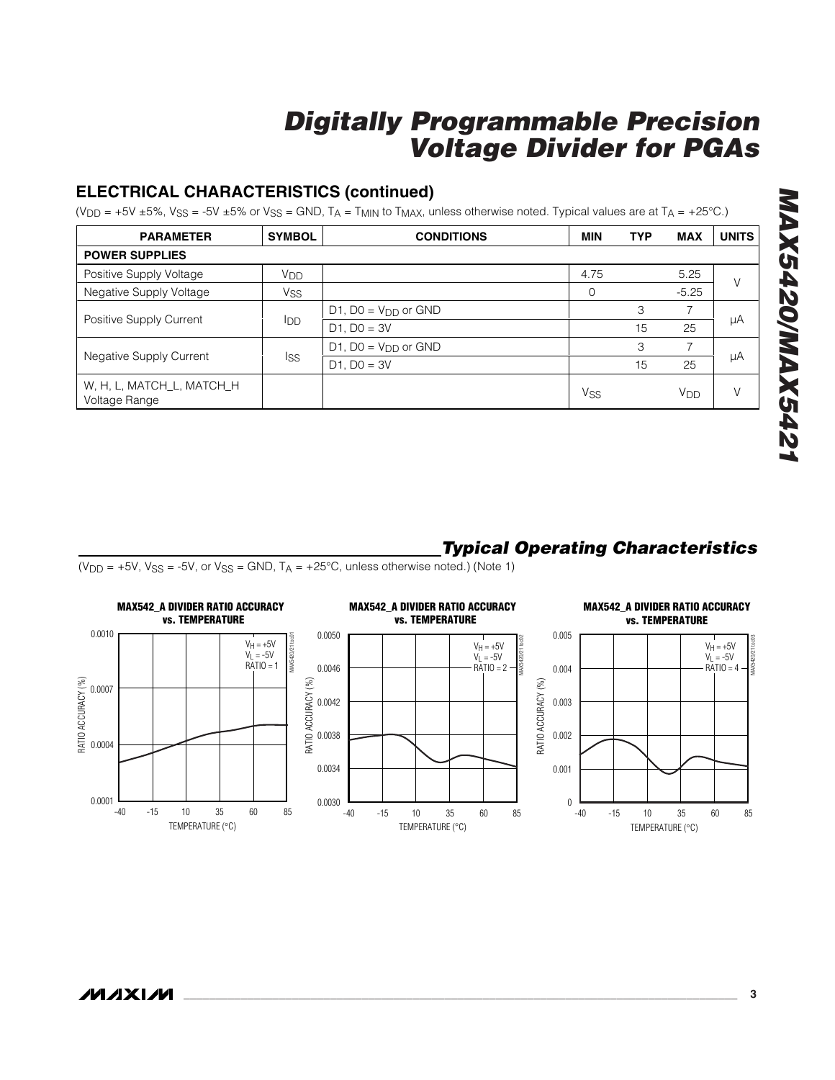## **ELECTRICAL CHARACTERISTICS (continued)**

(V<sub>DD</sub> = +5V ±5%, V<sub>SS</sub> = -5V ±5% or V<sub>SS</sub> = GND, T<sub>A</sub> = T<sub>MIN</sub> to T<sub>MAX</sub>, unless otherwise noted. Typical values are at T<sub>A</sub> = +25°C.)

| <b>PARAMETER</b>                           | <b>SYMBOL</b>   | <b>CONDITIONS</b>     | <b>MIN</b>      | <b>TYP</b> | <b>MAX</b> | <b>UNITS</b> |  |
|--------------------------------------------|-----------------|-----------------------|-----------------|------------|------------|--------------|--|
| <b>POWER SUPPLIES</b>                      |                 |                       |                 |            |            |              |  |
| Positive Supply Voltage                    | V <sub>DD</sub> |                       | 4.75            |            | 5.25       |              |  |
| Negative Supply Voltage                    | Vss             |                       | 0               |            | $-5.25$    |              |  |
| Positive Supply Current                    | <b>I</b> DD     | D1, $DO = VDD$ or GND |                 | 3          |            |              |  |
|                                            |                 | $D1$ , $D0 = 3V$      |                 | 15         | 25         | μA           |  |
|                                            |                 | D1, $DO = VDD$ or GND |                 | 3          |            |              |  |
| <b>Negative Supply Current</b>             | Iss             | $D1$ , $D0 = 3V$      |                 | 15         | 25         | μA           |  |
| W, H, L, MATCH_L, MATCH_H<br>Voltage Range |                 |                       | V <sub>SS</sub> |            | Vdd        |              |  |

# *MAX5420/MAX5421* **MAX5420/MAX5421**

## *Typical Operating Characteristics*

 $(V_{DD} = +5V, V_{SS} = -5V,$  or  $V_{SS} = GND, T_A = +25°C$ , unless otherwise noted.) (Note 1)

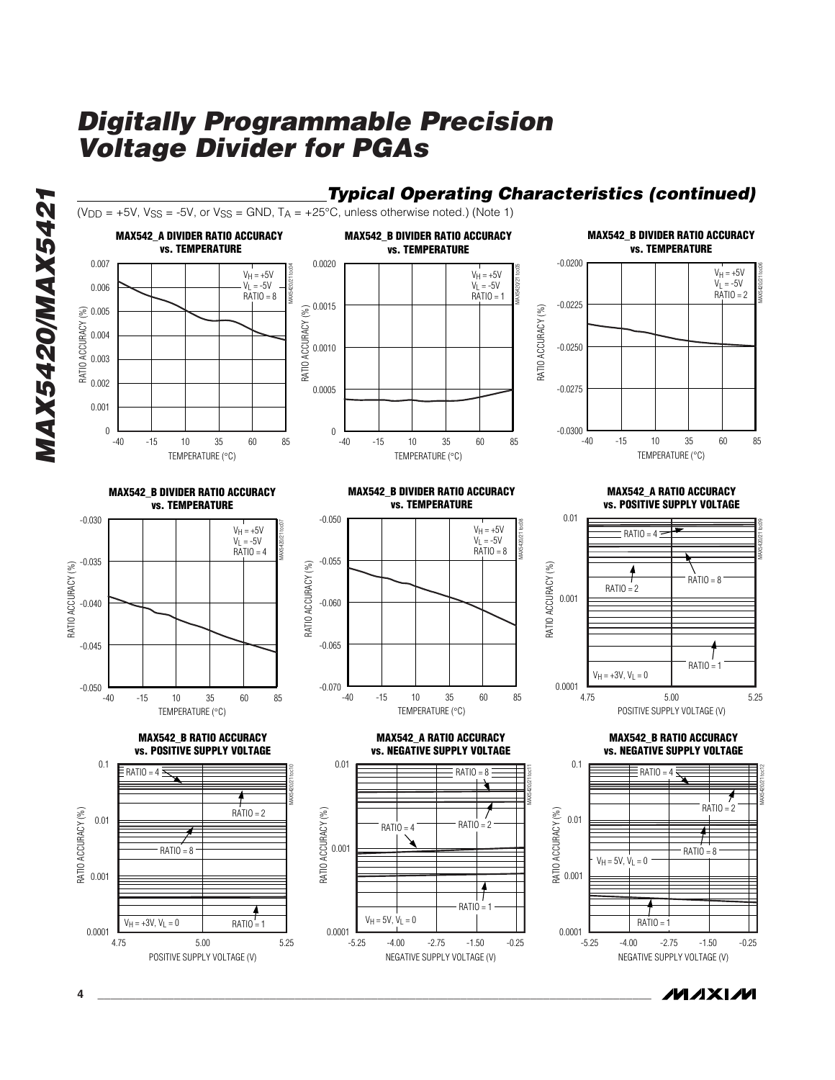

**4 \_\_\_\_\_\_\_\_\_\_\_\_\_\_\_\_\_\_\_\_\_\_\_\_\_\_\_\_\_\_\_\_\_\_\_\_\_\_\_\_\_\_\_\_\_\_\_\_\_\_\_\_\_\_\_\_\_\_\_\_\_\_\_\_\_\_\_\_\_\_\_\_\_\_\_\_\_\_\_\_\_\_\_\_\_\_\_**

*/VI /I* XI /VI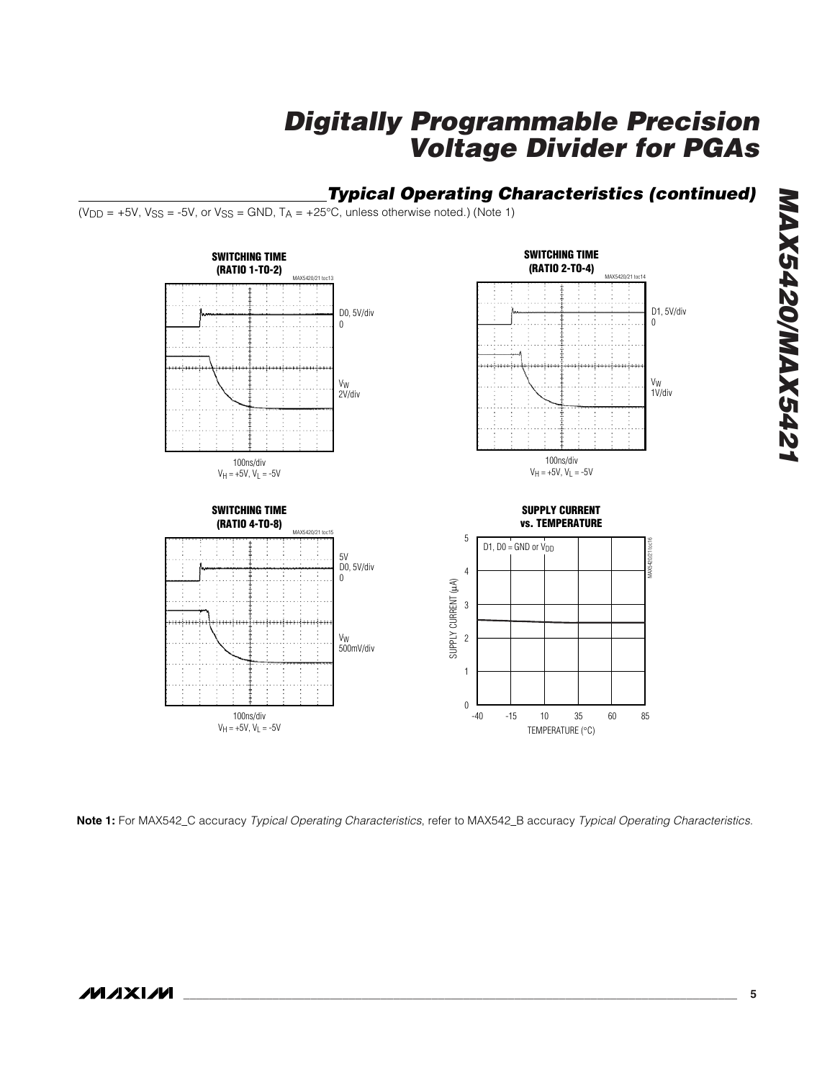

**Note 1:** For MAX542\_C accuracy *Typical Operating Characteristics*, refer to MAX542\_B accuracy *Typical Operating Characteristics*.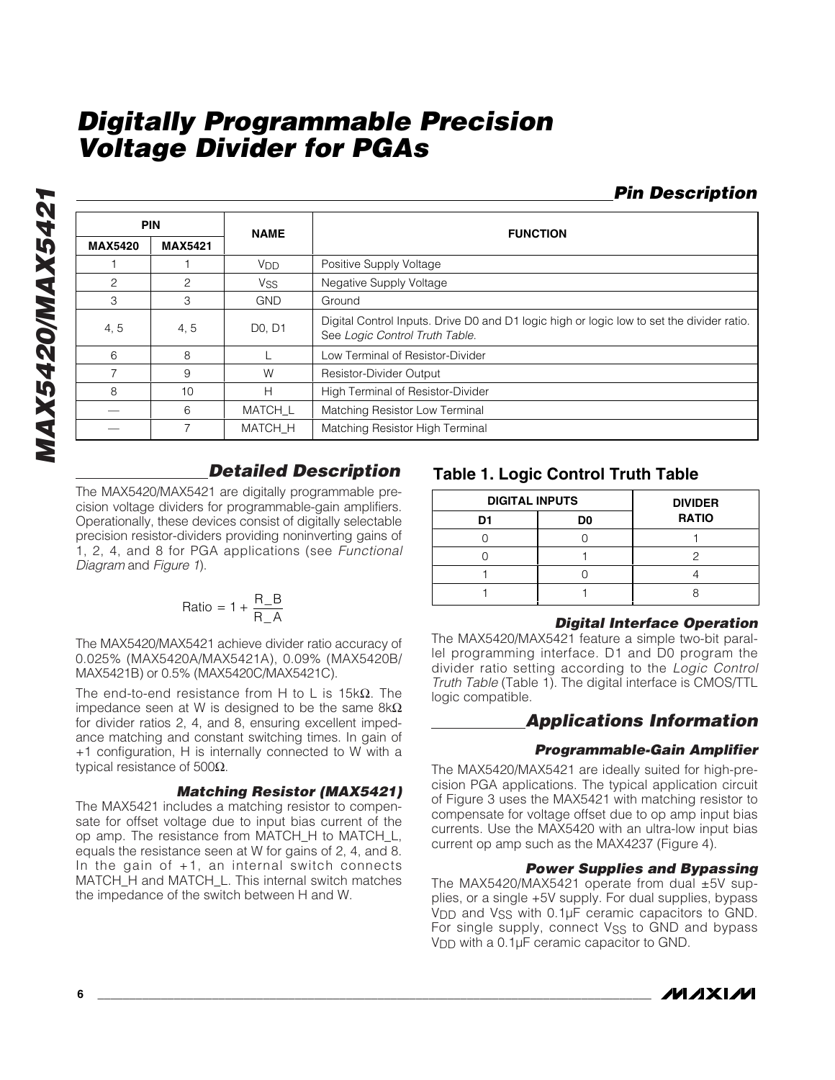### *Pin Description*

| <b>PIN</b>     |                | <b>NAME</b>                     | <b>FUNCTION</b>                                                                                                             |  |  |
|----------------|----------------|---------------------------------|-----------------------------------------------------------------------------------------------------------------------------|--|--|
| <b>MAX5420</b> | <b>MAX5421</b> |                                 |                                                                                                                             |  |  |
|                |                | <b>V<sub>DD</sub></b>           | Positive Supply Voltage                                                                                                     |  |  |
| 2              | 2              | <b>Vss</b>                      | Negative Supply Voltage                                                                                                     |  |  |
| 3              | 3              | <b>GND</b>                      | Ground                                                                                                                      |  |  |
| 4, 5           | 4, 5           | D <sub>0</sub> , D <sub>1</sub> | Digital Control Inputs. Drive D0 and D1 logic high or logic low to set the divider ratio.<br>See Logic Control Truth Table. |  |  |
| 6              | 8              |                                 | Low Terminal of Resistor-Divider                                                                                            |  |  |
| 7              | 9              | W                               | <b>Resistor-Divider Output</b>                                                                                              |  |  |
| 8              | 10             | Н                               | High Terminal of Resistor-Divider                                                                                           |  |  |
|                | 6              | MATCH L                         | Matching Resistor Low Terminal                                                                                              |  |  |
|                | 7              | <b>MATCH H</b>                  | Matching Resistor High Terminal                                                                                             |  |  |

#### *Detailed Description*

The MAX5420/MAX5421 are digitally programmable precision voltage dividers for programmable-gain amplifiers. Operationally, these devices consist of digitally selectable precision resistor-dividers providing noninverting gains of 1, 2, 4, and 8 for PGA applications (see *Functional Diagram* and *Figure 1*).

$$
Ratio = 1 + \frac{R_B}{R_A}
$$

The MAX5420/MAX5421 achieve divider ratio accuracy of 0.025% (MAX5420A/MAX5421A), 0.09% (MAX5420B/ MAX5421B) or 0.5% (MAX5420C/MAX5421C).

The end-to-end resistance from H to L is  $15k\Omega$ . The impedance seen at W is designed to be the same  $8kΩ$ for divider ratios 2, 4, and 8, ensuring excellent impedance matching and constant switching times. In gain of +1 configuration, H is internally connected to W with a typical resistance of 500Ω.

#### *Matching Resistor (MAX5421)*

The MAX5421 includes a matching resistor to compensate for offset voltage due to input bias current of the op amp. The resistance from MATCH\_H to MATCH\_L, equals the resistance seen at W for gains of 2, 4, and 8. In the gain of +1, an internal switch connects MATCH\_H and MATCH\_L. This internal switch matches the impedance of the switch between H and W.

#### **Table 1. Logic Control Truth Table**

| <b>DIGITAL INPUTS</b> | <b>DIVIDER</b> |              |
|-----------------------|----------------|--------------|
| D1                    | D0             | <b>RATIO</b> |
|                       |                |              |
|                       |                |              |
|                       |                |              |
|                       |                |              |

#### *Digital Interface Operation*

The MAX5420/MAX5421 feature a simple two-bit parallel programming interface. D1 and D0 program the divider ratio setting according to the *Logic Control Truth Table* (Table 1). The digital interface is CMOS/TTL logic compatible.

#### *Applications Information*

#### *Programmable-Gain Amplifier*

The MAX5420/MAX5421 are ideally suited for high-precision PGA applications. The typical application circuit of Figure 3 uses the MAX5421 with matching resistor to compensate for voltage offset due to op amp input bias currents. Use the MAX5420 with an ultra-low input bias current op amp such as the MAX4237 (Figure 4).

#### *Power Supplies and Bypassing*

The MAX5420/MAX5421 operate from dual ±5V supplies, or a single +5V supply. For dual supplies, bypass V<sub>DD</sub> and V<sub>SS</sub> with 0.1µF ceramic capacitors to GND. For single supply, connect Vss to GND and bypass V<sub>DD</sub> with a 0.1µF ceramic capacitor to GND.

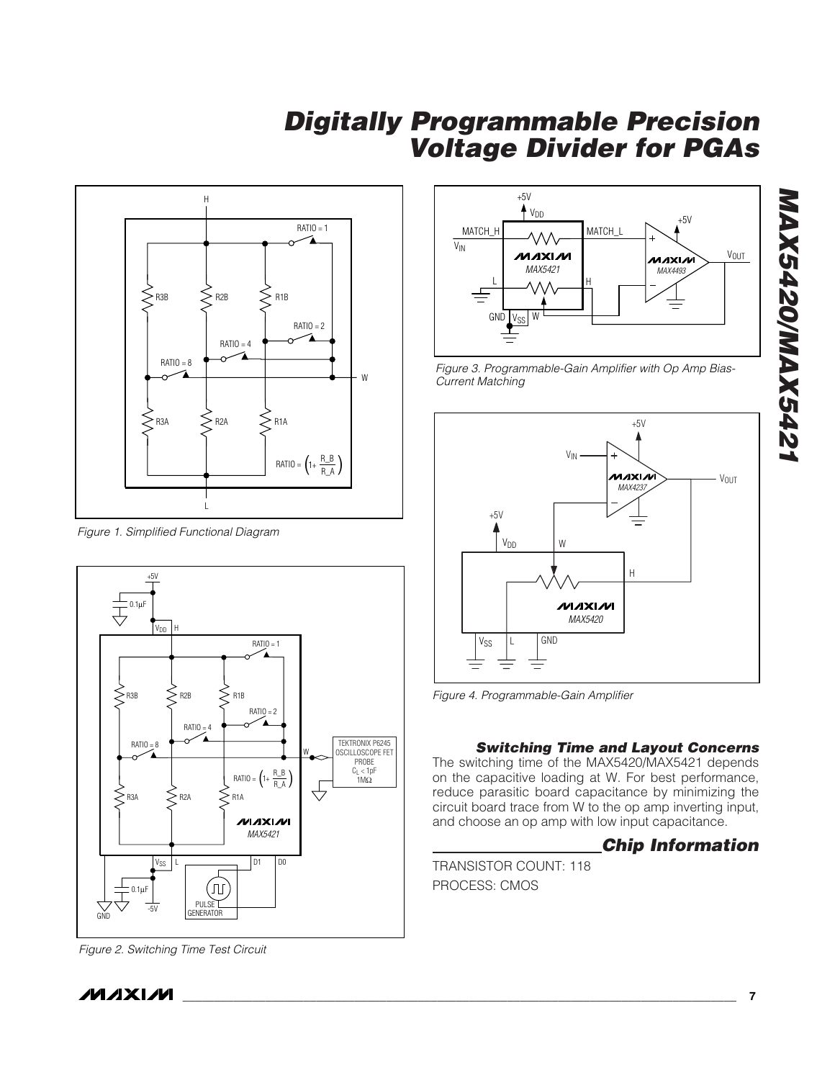

*Figure 1. Simplified Functional Diagram*



*Figure 2. Switching Time Test Circuit*



*Figure 3. Programmable-Gain Amplifier with Op Amp Bias-Current Matching*



*Figure 4. Programmable-Gain Amplifier*

#### *Switching Time and Layout Concerns*

The switching time of the MAX5420/MAX5421 depends on the capacitive loading at W. For best performance, reduce parasitic board capacitance by minimizing the circuit board trace from W to the op amp inverting input, and choose an op amp with low input capacitance.

#### *Chip Information*

TRANSISTOR COUNT: 118 PROCESS: CMOS

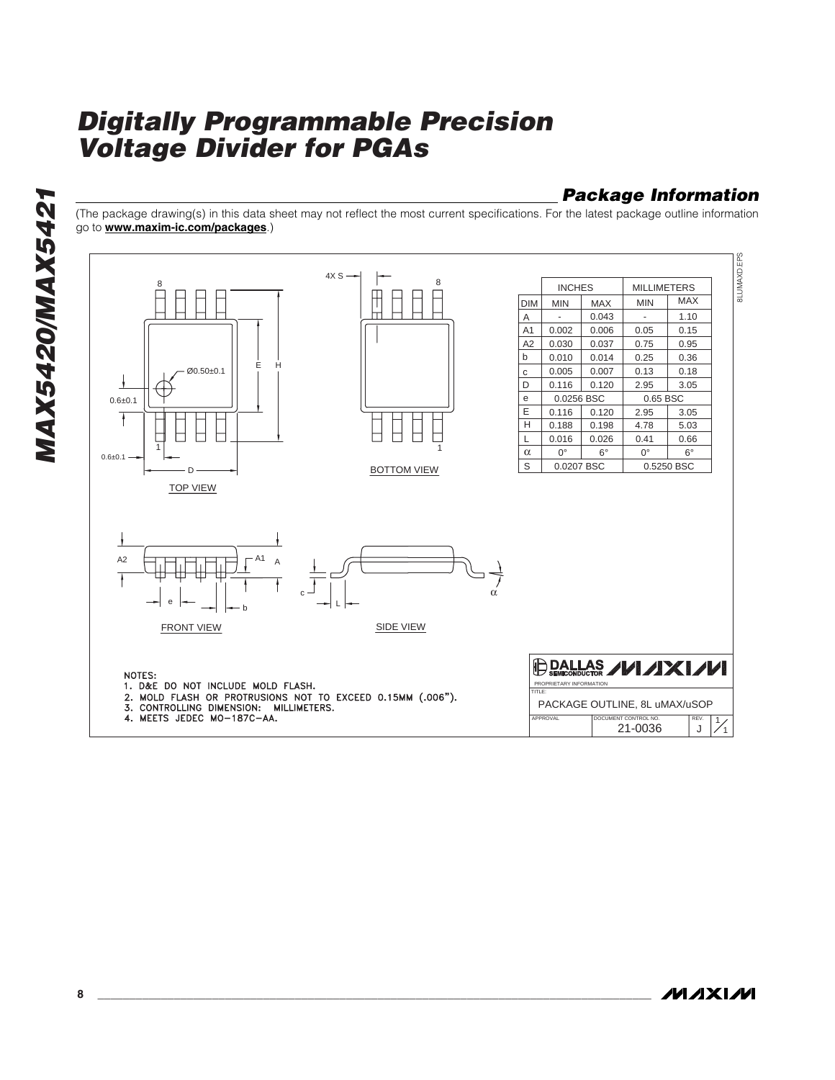## *Package Information*

(The package drawing(s) in this data sheet may not reflect the most current specifications. For the latest package outline information go to **www.maxim-ic.com/packages**.)



**MAX5420/MAX5421** *MAX5420/MAX5421*